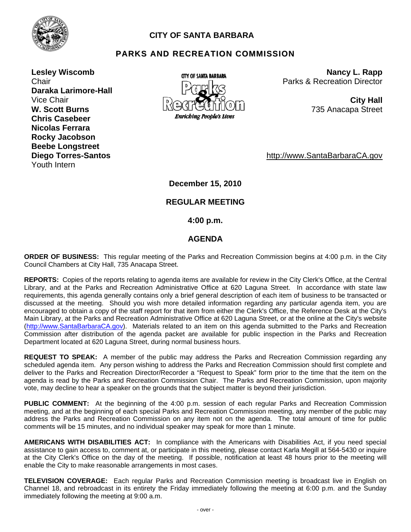

# **CITY OF SANTA BARBARA**

# **PARKS AND RECREATION COMMISSION**

**Lesley Wiscomb Chair Daraka Larimore-Hall W. Scott Burns Chris Casebeer Nicolas Ferrara Rocky Jacobson Beebe Longstreet Diego Torres-Santos**  Youth Intern



**Nancy L. Rapp** Parks & Recreation Director

735 Anacapa Street

http://www.SantaBarbaraCA.gov

**December 15, 2010** 

## **REGULAR MEETING**

 **4:00 p.m.** 

## **AGENDA**

**ORDER OF BUSINESS:** This regular meeting of the Parks and Recreation Commission begins at 4:00 p.m. in the City Council Chambers at City Hall, 735 Anacapa Street.

**REPORTS:** Copies of the reports relating to agenda items are available for review in the City Clerk's Office, at the Central Library, and at the Parks and Recreation Administrative Office at 620 Laguna Street. In accordance with state law requirements, this agenda generally contains only a brief general description of each item of business to be transacted or discussed at the meeting. Should you wish more detailed information regarding any particular agenda item, you are encouraged to obtain a copy of the staff report for that item from either the Clerk's Office, the Reference Desk at the City's Main Library, at the Parks and Recreation Administrative Office at 620 Laguna Street, or at the online at the City's website (http://www.SantaBarbaraCA.gov). Materials related to an item on this agenda submitted to the Parks and Recreation Commission after distribution of the agenda packet are available for public inspection in the Parks and Recreation Department located at 620 Laguna Street, during normal business hours.

**REQUEST TO SPEAK:** A member of the public may address the Parks and Recreation Commission regarding any scheduled agenda item. Any person wishing to address the Parks and Recreation Commission should first complete and deliver to the Parks and Recreation Director/Recorder a "Request to Speak" form prior to the time that the item on the agenda is read by the Parks and Recreation Commission Chair. The Parks and Recreation Commission, upon majority vote, may decline to hear a speaker on the grounds that the subject matter is beyond their jurisdiction.

**PUBLIC COMMENT:** At the beginning of the 4:00 p.m. session of each regular Parks and Recreation Commission meeting, and at the beginning of each special Parks and Recreation Commission meeting, any member of the public may address the Parks and Recreation Commission on any item not on the agenda. The total amount of time for public comments will be 15 minutes, and no individual speaker may speak for more than 1 minute.

**AMERICANS WITH DISABILITIES ACT:** In compliance with the Americans with Disabilities Act, if you need special assistance to gain access to, comment at, or participate in this meeting, please contact Karla Megill at 564-5430 or inquire at the City Clerk's Office on the day of the meeting. If possible, notification at least 48 hours prior to the meeting will enable the City to make reasonable arrangements in most cases.

**TELEVISION COVERAGE:** Each regular Parks and Recreation Commission meeting is broadcast live in English on Channel 18, and rebroadcast in its entirety the Friday immediately following the meeting at 6:00 p.m. and the Sunday immediately following the meeting at 9:00 a.m.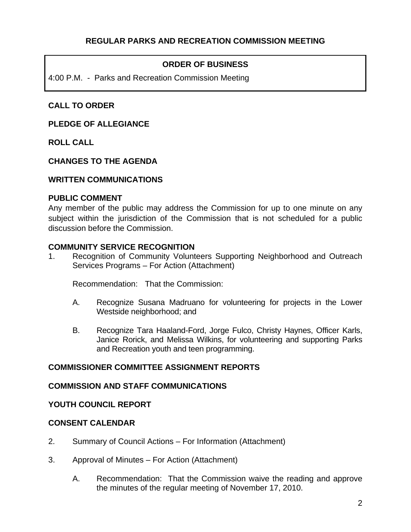# **ORDER OF BUSINESS**

4:00 P.M. - Parks and Recreation Commission Meeting

# **CALL TO ORDER**

## **PLEDGE OF ALLEGIANCE**

**ROLL CALL** 

## **CHANGES TO THE AGENDA**

#### **WRITTEN COMMUNICATIONS**

#### **PUBLIC COMMENT**

Any member of the public may address the Commission for up to one minute on any subject within the jurisdiction of the Commission that is not scheduled for a public discussion before the Commission.

#### **COMMUNITY SERVICE RECOGNITION**

1. Recognition of Community Volunteers Supporting Neighborhood and Outreach Services Programs – For Action (Attachment)

Recommendation: That the Commission:

- A. Recognize Susana Madruano for volunteering for projects in the Lower Westside neighborhood; and
- B. Recognize Tara Haaland-Ford, Jorge Fulco, Christy Haynes, Officer Karls, Janice Rorick, and Melissa Wilkins, for volunteering and supporting Parks and Recreation youth and teen programming.

## **COMMISSIONER COMMITTEE ASSIGNMENT REPORTS**

#### **COMMISSION AND STAFF COMMUNICATIONS**

## **YOUTH COUNCIL REPORT**

### **CONSENT CALENDAR**

- 2. Summary of Council Actions For Information (Attachment)
- 3. Approval of Minutes For Action (Attachment)
	- A. Recommendation: That the Commission waive the reading and approve the minutes of the regular meeting of November 17, 2010.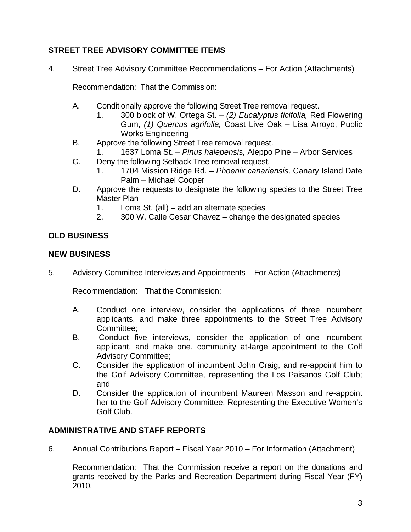# **STREET TREE ADVISORY COMMITTEE ITEMS**

4. Street Tree Advisory Committee Recommendations – For Action (Attachments)

Recommendation: That the Commission:

- A. Conditionally approve the following Street Tree removal request.
	- 1. 300 block of W. Ortega St. *(2) Eucalyptus ficifolia,* Red Flowering Gum, *(1) Quercus agrifolia,* Coast Live Oak – Lisa Arroyo, Public Works Engineering
- B. Approve the following Street Tree removal request.
	- 1637 Loma St. *Pinus halepensis*, Aleppo Pine Arbor Services
- C. Deny the following Setback Tree removal request.
	- 1. 1704 Mission Ridge Rd. *Phoenix canariensis,* Canary Island Date Palm – Michael Cooper
- D. Approve the requests to designate the following species to the Street Tree Master Plan
	- 1. Loma St. (all) add an alternate species
	- 2. 300 W. Calle Cesar Chavez change the designated species

# **OLD BUSINESS**

# **NEW BUSINESS**

5. Advisory Committee Interviews and Appointments – For Action (Attachments)

Recommendation: That the Commission:

- A. Conduct one interview, consider the applications of three incumbent applicants, and make three appointments to the Street Tree Advisory Committee;
- B. Conduct five interviews, consider the application of one incumbent applicant, and make one, community at-large appointment to the Golf Advisory Committee;
- C. Consider the application of incumbent John Craig, and re-appoint him to the Golf Advisory Committee, representing the Los Paisanos Golf Club; and
- D. Consider the application of incumbent Maureen Masson and re-appoint her to the Golf Advisory Committee, Representing the Executive Women's Golf Club.

# **ADMINISTRATIVE AND STAFF REPORTS**

6. Annual Contributions Report – Fiscal Year 2010 – For Information (Attachment)

Recommendation: That the Commission receive a report on the donations and grants received by the Parks and Recreation Department during Fiscal Year (FY) 2010.